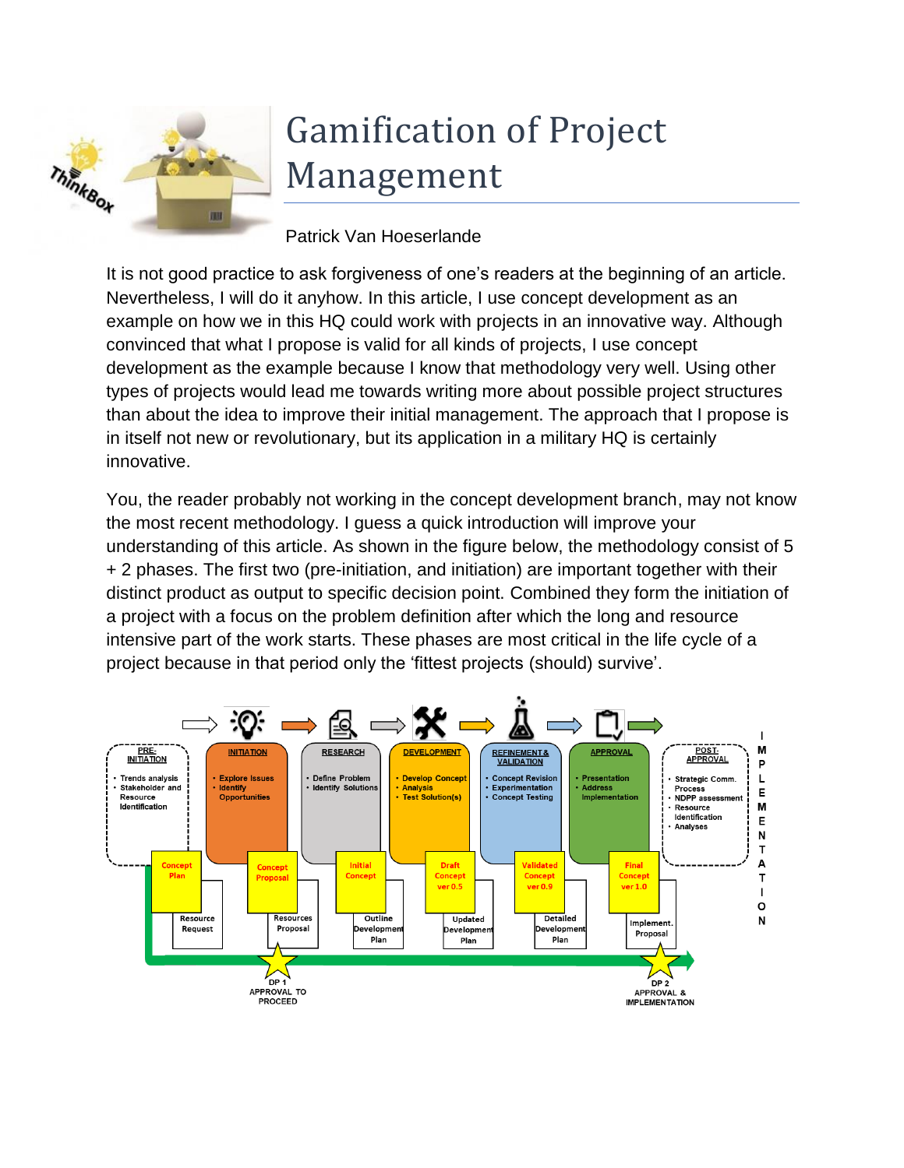

## Gamification of Project Management

Patrick Van Hoeserlande

It is not good practice to ask forgiveness of one's readers at the beginning of an article. Nevertheless, I will do it anyhow. In this article, I use concept development as an example on how we in this HQ could work with projects in an innovative way. Although convinced that what I propose is valid for all kinds of projects, I use concept development as the example because I know that methodology very well. Using other types of projects would lead me towards writing more about possible project structures than about the idea to improve their initial management. The approach that I propose is in itself not new or revolutionary, but its application in a military HQ is certainly innovative.

You, the reader probably not working in the concept development branch, may not know the most recent methodology. I guess a quick introduction will improve your understanding of this article. As shown in the figure below, the methodology consist of 5 + 2 phases. The first two (pre-initiation, and initiation) are important together with their distinct product as output to specific decision point. Combined they form the initiation of a project with a focus on the problem definition after which the long and resource intensive part of the work starts. These phases are most critical in the life cycle of a project because in that period only the 'fittest projects (should) survive'.

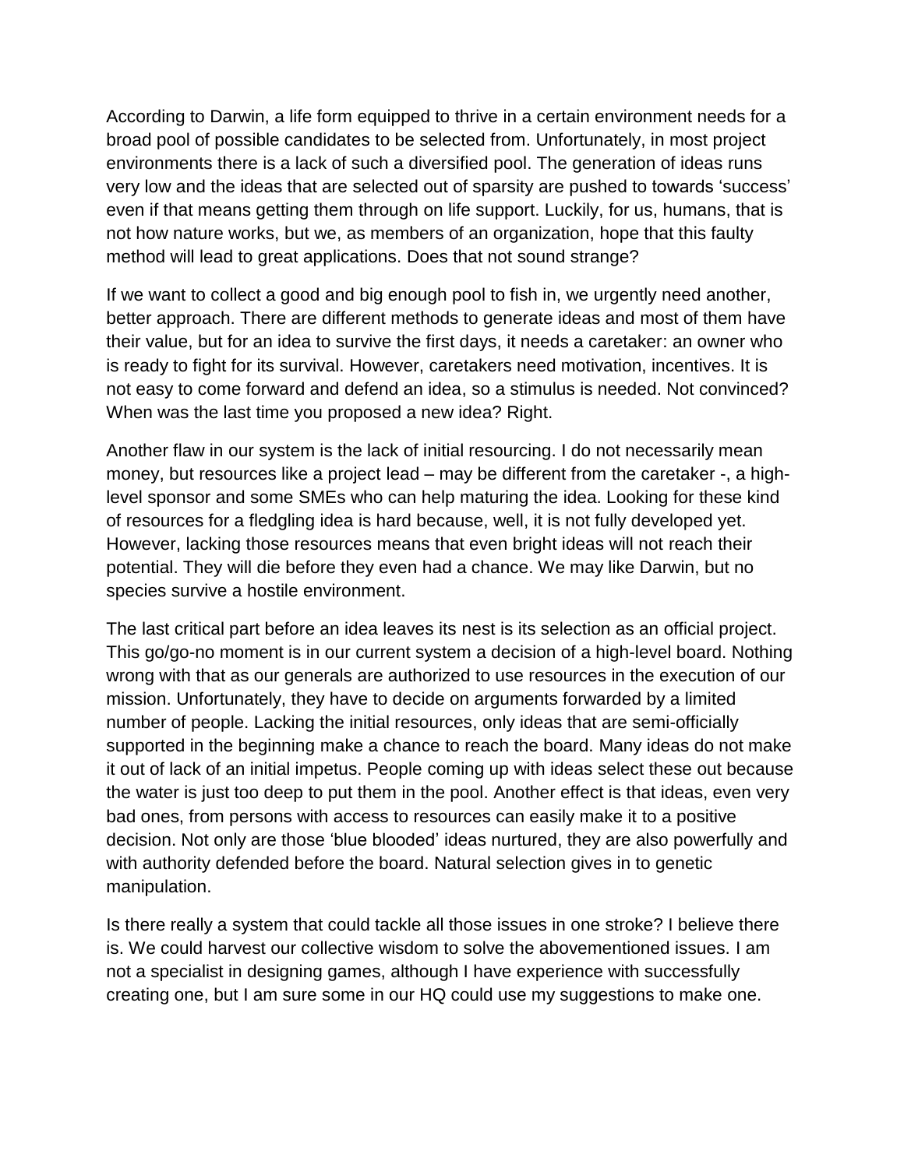According to Darwin, a life form equipped to thrive in a certain environment needs for a broad pool of possible candidates to be selected from. Unfortunately, in most project environments there is a lack of such a diversified pool. The generation of ideas runs very low and the ideas that are selected out of sparsity are pushed to towards 'success' even if that means getting them through on life support. Luckily, for us, humans, that is not how nature works, but we, as members of an organization, hope that this faulty method will lead to great applications. Does that not sound strange?

If we want to collect a good and big enough pool to fish in, we urgently need another, better approach. There are different methods to generate ideas and most of them have their value, but for an idea to survive the first days, it needs a caretaker: an owner who is ready to fight for its survival. However, caretakers need motivation, incentives. It is not easy to come forward and defend an idea, so a stimulus is needed. Not convinced? When was the last time you proposed a new idea? Right.

Another flaw in our system is the lack of initial resourcing. I do not necessarily mean money, but resources like a project lead – may be different from the caretaker -, a highlevel sponsor and some SMEs who can help maturing the idea. Looking for these kind of resources for a fledgling idea is hard because, well, it is not fully developed yet. However, lacking those resources means that even bright ideas will not reach their potential. They will die before they even had a chance. We may like Darwin, but no species survive a hostile environment.

The last critical part before an idea leaves its nest is its selection as an official project. This go/go-no moment is in our current system a decision of a high-level board. Nothing wrong with that as our generals are authorized to use resources in the execution of our mission. Unfortunately, they have to decide on arguments forwarded by a limited number of people. Lacking the initial resources, only ideas that are semi-officially supported in the beginning make a chance to reach the board. Many ideas do not make it out of lack of an initial impetus. People coming up with ideas select these out because the water is just too deep to put them in the pool. Another effect is that ideas, even very bad ones, from persons with access to resources can easily make it to a positive decision. Not only are those 'blue blooded' ideas nurtured, they are also powerfully and with authority defended before the board. Natural selection gives in to genetic manipulation.

Is there really a system that could tackle all those issues in one stroke? I believe there is. We could harvest our collective wisdom to solve the abovementioned issues. I am not a specialist in designing games, although I have experience with successfully creating one, but I am sure some in our HQ could use my suggestions to make one.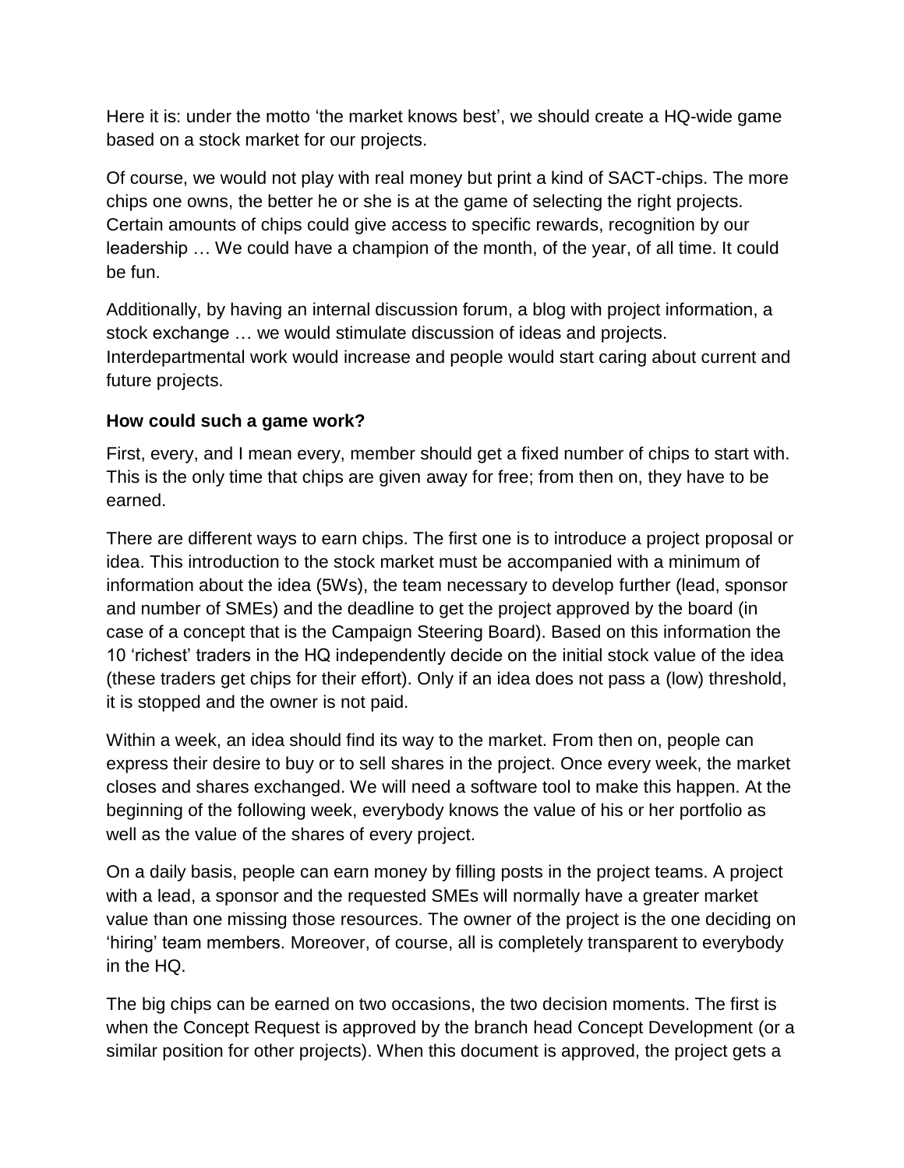Here it is: under the motto 'the market knows best', we should create a HQ-wide game based on a stock market for our projects.

Of course, we would not play with real money but print a kind of SACT-chips. The more chips one owns, the better he or she is at the game of selecting the right projects. Certain amounts of chips could give access to specific rewards, recognition by our leadership … We could have a champion of the month, of the year, of all time. It could be fun.

Additionally, by having an internal discussion forum, a blog with project information, a stock exchange … we would stimulate discussion of ideas and projects. Interdepartmental work would increase and people would start caring about current and future projects.

## **How could such a game work?**

First, every, and I mean every, member should get a fixed number of chips to start with. This is the only time that chips are given away for free; from then on, they have to be earned.

There are different ways to earn chips. The first one is to introduce a project proposal or idea. This introduction to the stock market must be accompanied with a minimum of information about the idea (5Ws), the team necessary to develop further (lead, sponsor and number of SMEs) and the deadline to get the project approved by the board (in case of a concept that is the Campaign Steering Board). Based on this information the 10 'richest' traders in the HQ independently decide on the initial stock value of the idea (these traders get chips for their effort). Only if an idea does not pass a (low) threshold, it is stopped and the owner is not paid.

Within a week, an idea should find its way to the market. From then on, people can express their desire to buy or to sell shares in the project. Once every week, the market closes and shares exchanged. We will need a software tool to make this happen. At the beginning of the following week, everybody knows the value of his or her portfolio as well as the value of the shares of every project.

On a daily basis, people can earn money by filling posts in the project teams. A project with a lead, a sponsor and the requested SMEs will normally have a greater market value than one missing those resources. The owner of the project is the one deciding on 'hiring' team members. Moreover, of course, all is completely transparent to everybody in the HQ.

The big chips can be earned on two occasions, the two decision moments. The first is when the Concept Request is approved by the branch head Concept Development (or a similar position for other projects). When this document is approved, the project gets a